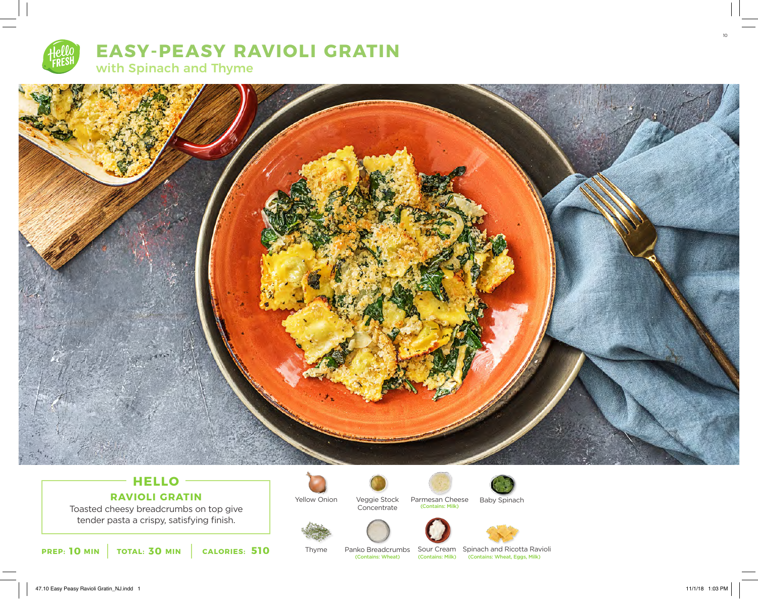



## **HELLO RAVIOLI GRATIN**

Toasted cheesy breadcrumbs on top give tender pasta a crispy, satisfying finish.





Concentrate



Veggie Stock Parmesan Cheese Baby Spinach<br>Concentrate (Contains: Milk)



Thyme Panko Breadcrumbs Sour Cream Spinach and Ricotta Ravioli (Contains: Wheat) (Contains: Milk) (Contains: Wheat, Eggs, Milk)

10